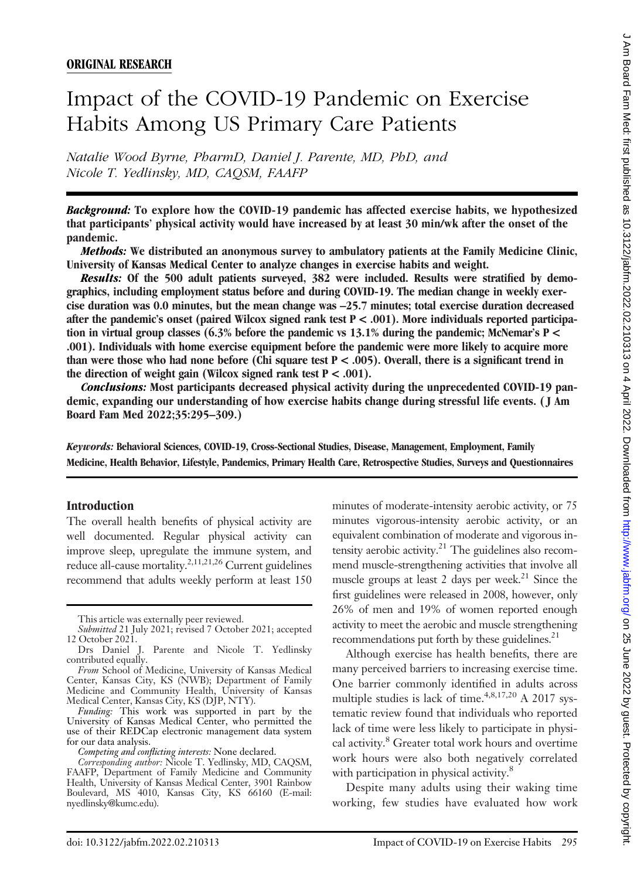# Impact of the COVID-19 Pandemic on Exercise Habits Among US Primary Care Patients

Natalie Wood Byrne, PharmD, Daniel J. Parente, MD, PhD, and Nicole T. Yedlinsky, MD, CAQSM, FAAFP

Background: To explore how the COVID-19 pandemic has affected exercise habits, we hypothesized that participants' physical activity would have increased by at least 30 min/wk after the onset of the pandemic.

Methods: We distributed an anonymous survey to ambulatory patients at the Family Medicine Clinic, University of Kansas Medical Center to analyze changes in exercise habits and weight.

Results: Of the 500 adult patients surveyed, 382 were included. Results were stratified by demographics, including employment status before and during COVID-19. The median change in weekly exercise duration was 0.0 minutes, but the mean change was –25.7 minutes; total exercise duration decreased after the pandemic's onset (paired Wilcox signed rank test P < .001). More individuals reported participation in virtual group classes  $(6.3\%$  before the pandemic vs 13.1% during the pandemic; McNemar's P < .001). Individuals with home exercise equipment before the pandemic were more likely to acquire more than were those who had none before (Chi square test  $P < .005$ ). Overall, there is a significant trend in the direction of weight gain (Wilcox signed rank test  $P < .001$ ).

Conclusions: Most participants decreased physical activity during the unprecedented COVID-19 pandemic, expanding our understanding of how exercise habits change during stressful life events. ( J Am Board Fam Med 2022;35:295–309.)

Keywords: Behavioral Sciences, COVID-19, Cross-Sectional Studies, Disease, Management, Employment, Family Medicine, Health Behavior, Lifestyle, Pandemics, Primary Health Care, Retrospective Studies, Surveys and Questionnaires

#### Introduction

The overall health benefits of physical activity are well documented. Regular physical activity can improve sleep, upregulate the immune system, and reduce all-cause mortality.2,11,21,26 Current guidelines recommend that adults weekly perform at least 150

Funding: This work was supported in part by the University of Kansas Medical Center, who permitted the use of their REDCap electronic management data system for our data analysis.

Competing and conflicting interests: None declared.

Corresponding author: Nicole T. Yedlinsky, MD, CAQSM, FAAFP, Department of Family Medicine and Community Health, University of Kansas Medical Center, 3901 Rainbow Boulevard, MS 4010, Kansas City, KS 66160 (E-mail: [nyedlinsky@kumc.edu\).](mailto:nyedlinsky@kumc.edu).)

minutes of moderate-intensity aerobic activity, or 75 minutes vigorous-intensity aerobic activity, or an equivalent combination of moderate and vigorous intensity aerobic activity.<sup>21</sup> The guidelines also recommend muscle-strengthening activities that involve all muscle groups at least 2 days per week.<sup>21</sup> Since the first guidelines were released in 2008, however, only 26% of men and 19% of women reported enough activity to meet the aerobic and muscle strengthening recommendations put forth by these guidelines. $^{21}$ 

Although exercise has health benefits, there are many perceived barriers to increasing exercise time. One barrier commonly identified in adults across multiple studies is lack of time.4,8,17,20 A 2017 systematic review found that individuals who reported lack of time were less likely to participate in physical activity.<sup>8</sup> Greater total work hours and overtime work hours were also both negatively correlated with participation in physical activity.<sup>8</sup>

Despite many adults using their waking time working, few studies have evaluated how work

This article was externally peer reviewed.

Submitted 21 July 2021; revised 7 October 2021; accepted 12 October 2021.

Drs Daniel J. Parente and Nicole T. Yedlinsky contributed equally.

From School of Medicine, University of Kansas Medical Center, Kansas City, KS (NWB); Department of Family Medicine and Community Health, University of Kansas Medical Center, Kansas City, KS (DJP, NTY).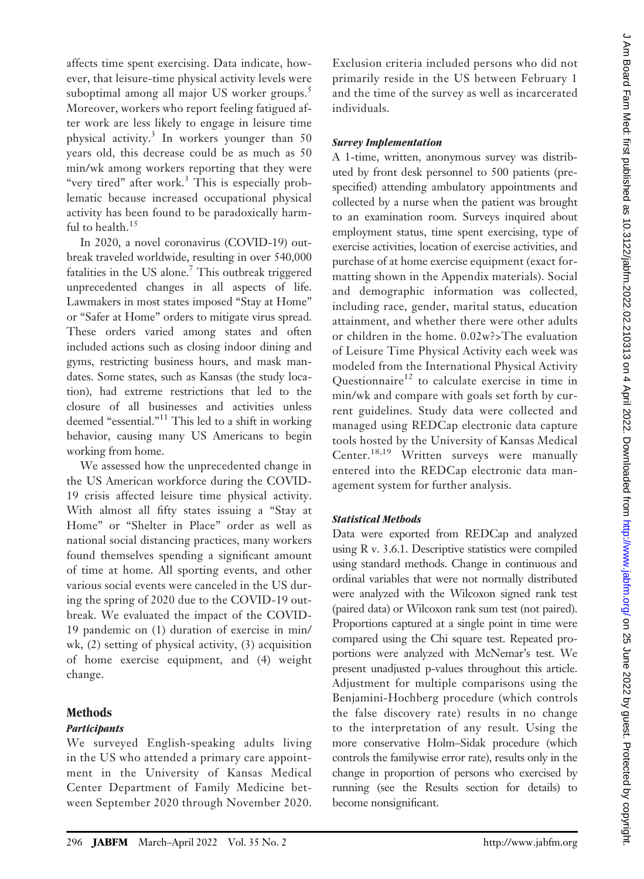affects time spent exercising. Data indicate, however, that leisure-time physical activity levels were suboptimal among all major US worker groups.<sup>5</sup> Moreover, workers who report feeling fatigued after work are less likely to engage in leisure time physical activity.<sup>3</sup> In workers younger than 50 years old, this decrease could be as much as 50 min/wk among workers reporting that they were "very tired" after work. $3$  This is especially problematic because increased occupational physical activity has been found to be paradoxically harmful to health.<sup>15</sup>

In 2020, a novel coronavirus (COVID-19) outbreak traveled worldwide, resulting in over 540,000 fatalities in the US alone.<sup>7</sup> This outbreak triggered unprecedented changes in all aspects of life. Lawmakers in most states imposed "Stay at Home" or "Safer at Home" orders to mitigate virus spread. These orders varied among states and often included actions such as closing indoor dining and gyms, restricting business hours, and mask mandates. Some states, such as Kansas (the study location), had extreme restrictions that led to the closure of all businesses and activities unless deemed "essential."<sup>11</sup> This led to a shift in working behavior, causing many US Americans to begin working from home.

We assessed how the unprecedented change in the US American workforce during the COVID-19 crisis affected leisure time physical activity. With almost all fifty states issuing a "Stay at Home" or "Shelter in Place" order as well as national social distancing practices, many workers found themselves spending a significant amount of time at home. All sporting events, and other various social events were canceled in the US during the spring of 2020 due to the COVID-19 outbreak. We evaluated the impact of the COVID-19 pandemic on (1) duration of exercise in min/ wk, (2) setting of physical activity, (3) acquisition of home exercise equipment, and (4) weight change.

# Methods

## **Participants**

We surveyed English-speaking adults living in the US who attended a primary care appointment in the University of Kansas Medical Center Department of Family Medicine between September 2020 through November 2020. Exclusion criteria included persons who did not primarily reside in the US between February 1 and the time of the survey as well as incarcerated individuals.

## Survey Implementation

A 1-time, written, anonymous survey was distributed by front desk personnel to 500 patients (prespecified) attending ambulatory appointments and collected by a nurse when the patient was brought to an examination room. Surveys inquired about employment status, time spent exercising, type of exercise activities, location of exercise activities, and purchase of at home exercise equipment (exact formatting shown in the Appendix materials). Social and demographic information was collected, including race, gender, marital status, education attainment, and whether there were other adults or children in the home. 0.02w?>The evaluation of Leisure Time Physical Activity each week was modeled from the International Physical Activity Questionnaire<sup>12</sup> to calculate exercise in time in min/wk and compare with goals set forth by current guidelines. Study data were collected and managed using REDCap electronic data capture tools hosted by the University of Kansas Medical Center.<sup>18,19</sup> Written surveys were manually entered into the REDCap electronic data management system for further analysis.

## Statistical Methods

Data were exported from REDCap and analyzed using R v. 3.6.1. Descriptive statistics were compiled using standard methods. Change in continuous and ordinal variables that were not normally distributed were analyzed with the Wilcoxon signed rank test (paired data) or Wilcoxon rank sum test (not paired). Proportions captured at a single point in time were compared using the Chi square test. Repeated proportions were analyzed with McNemar's test. We present unadjusted p-values throughout this article. Adjustment for multiple comparisons using the Benjamini-Hochberg procedure (which controls the false discovery rate) results in no change to the interpretation of any result. Using the more conservative Holm–Sidak procedure (which controls the familywise error rate), results only in the change in proportion of persons who exercised by running (see the Results section for details) to become nonsignificant.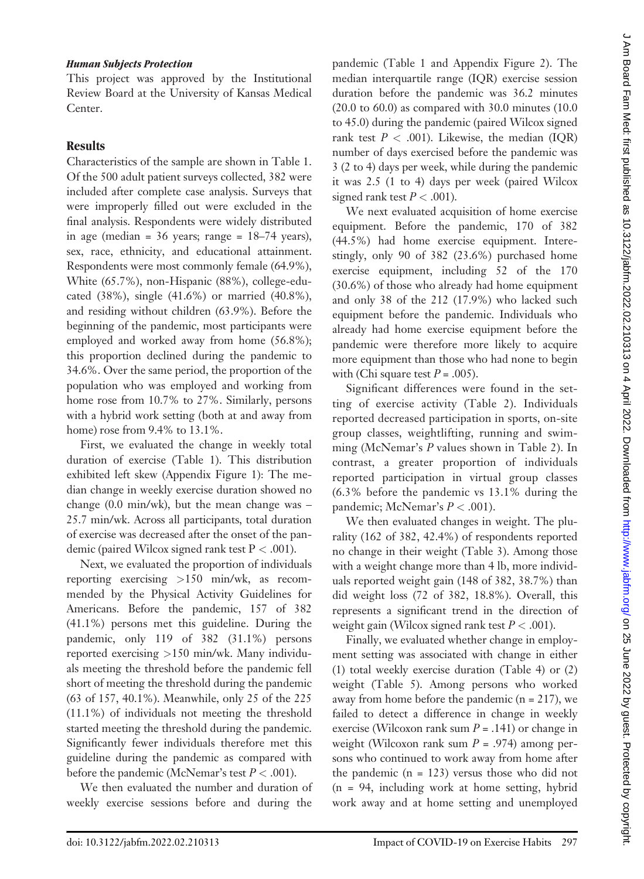#### Human Subjects Protection

This project was approved by the Institutional Review Board at the University of Kansas Medical Center.

## **Results**

Characteristics of the sample are shown in Table 1. Of the 500 adult patient surveys collected, 382 were included after complete case analysis. Surveys that were improperly filled out were excluded in the final analysis. Respondents were widely distributed in age (median =  $36$  years; range =  $18-74$  years), sex, race, ethnicity, and educational attainment. Respondents were most commonly female (64.9%), White (65.7%), non-Hispanic (88%), college-educated (38%), single (41.6%) or married (40.8%), and residing without children (63.9%). Before the beginning of the pandemic, most participants were employed and worked away from home (56.8%); this proportion declined during the pandemic to 34.6%. Over the same period, the proportion of the population who was employed and working from home rose from 10.7% to 27%. Similarly, persons with a hybrid work setting (both at and away from home) rose from 9.4% to 13.1%.

First, we evaluated the change in weekly total duration of exercise (Table 1). This distribution exhibited left skew (Appendix Figure 1): The median change in weekly exercise duration showed no change (0.0 min/wk), but the mean change was – 25.7 min/wk. Across all participants, total duration of exercise was decreased after the onset of the pandemic (paired Wilcox signed rank test  $P < .001$ ).

Next, we evaluated the proportion of individuals reporting exercising >150 min/wk, as recommended by the Physical Activity Guidelines for Americans. Before the pandemic, 157 of 382 (41.1%) persons met this guideline. During the pandemic, only 119 of 382 (31.1%) persons reported exercising >150 min/wk. Many individuals meeting the threshold before the pandemic fell short of meeting the threshold during the pandemic (63 of 157, 40.1%). Meanwhile, only 25 of the 225 (11.1%) of individuals not meeting the threshold started meeting the threshold during the pandemic. Significantly fewer individuals therefore met this guideline during the pandemic as compared with before the pandemic (McNemar's test  $P < .001$ ).

We then evaluated the number and duration of weekly exercise sessions before and during the

pandemic (Table 1 and Appendix Figure 2). The median interquartile range (IQR) exercise session duration before the pandemic was 36.2 minutes (20.0 to 60.0) as compared with 30.0 minutes (10.0 to 45.0) during the pandemic (paired Wilcox signed rank test  $P < .001$ ). Likewise, the median (IQR) number of days exercised before the pandemic was 3 (2 to 4) days per week, while during the pandemic it was 2.5 (1 to 4) days per week (paired Wilcox signed rank test  $P < .001$ ).

We next evaluated acquisition of home exercise equipment. Before the pandemic, 170 of 382 (44.5%) had home exercise equipment. Interestingly, only 90 of 382 (23.6%) purchased home exercise equipment, including 52 of the 170 (30.6%) of those who already had home equipment and only 38 of the 212 (17.9%) who lacked such equipment before the pandemic. Individuals who already had home exercise equipment before the pandemic were therefore more likely to acquire more equipment than those who had none to begin with (Chi square test  $P = .005$ ).

Significant differences were found in the setting of exercise activity (Table 2). Individuals reported decreased participation in sports, on-site group classes, weightlifting, running and swimming (McNemar's P values shown in Table 2). In contrast, a greater proportion of individuals reported participation in virtual group classes (6.3% before the pandemic vs 13.1% during the pandemic; McNemar's  $P < .001$ ).

We then evaluated changes in weight. The plurality (162 of 382, 42.4%) of respondents reported no change in their weight (Table 3). Among those with a weight change more than 4 lb, more individuals reported weight gain (148 of 382, 38.7%) than did weight loss (72 of 382, 18.8%). Overall, this represents a significant trend in the direction of weight gain (Wilcox signed rank test  $P < .001$ ).

Finally, we evaluated whether change in employment setting was associated with change in either (1) total weekly exercise duration (Table 4) or (2) weight (Table 5). Among persons who worked away from home before the pandemic  $(n = 217)$ , we failed to detect a difference in change in weekly exercise (Wilcoxon rank sum  $P = .141$ ) or change in weight (Wilcoxon rank sum  $P = .974$ ) among persons who continued to work away from home after the pandemic  $(n = 123)$  versus those who did not (n = 94, including work at home setting, hybrid work away and at home setting and unemployed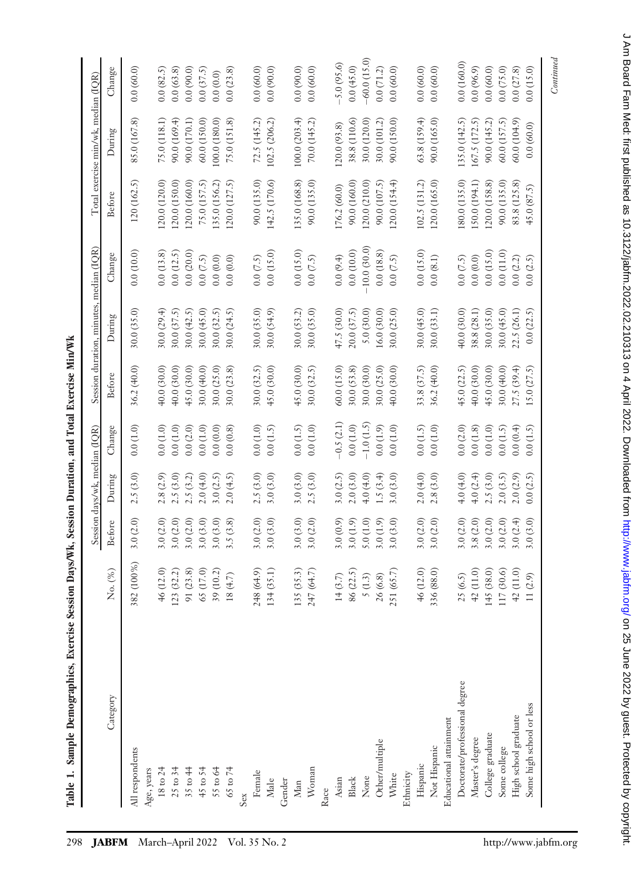| 0.0(160.0)<br>$-5.0(95.6)$<br>0.0(15.0)<br>Change<br>0.0(90.0)<br>0.0(60.0)<br>0.0(45.0)<br>0.0(96.9)<br>0.0(60.0)<br>0.0(37.5)<br>0.0(60.0)<br>0.0(90.0)<br>0.0(71.2)<br>0.0(60.0)<br>0.0(60.0)<br>0.0(60.0)<br>0.0(75.0)<br>0.0(27.8)<br>0.0(60.0)<br>0.0(63.8)<br>0.0(23.8)<br>0.0(90.0)<br>0.0(82.5)<br>0.0(0.0)<br>100.0(203.4)<br>63.8(159.4)<br>85.0 (167.8)<br>60.0 (150.0)<br>75.0(151.8)<br>72.5(145.2)<br>70.0 (145.2)<br>90.0 (150.0)<br>90.0 (165.0)<br>135.0 (142.5)<br>167.5(172.5)<br>75.0 (118.1)<br>90.0 (169.4)<br>90.0 (170.1)<br>100.0 (180.0)<br>102.5 (206.2)<br>38.8 (110.6)<br>90.0(145.2)<br>60.0(157.5)<br>60.0(104.9)<br>30.0 (120.0)<br>30.0(101.2)<br>0.0(60.0)<br>(20.0(93.8))<br>During<br>90.0 (135.0)<br>142.5 (170.6)<br>135.0 (168.8)<br>120.0 (165.0)<br>(80.0 (135.0)<br>(50.0(194.1)<br>120.0 (160.0)<br>75.0 (157.5)<br>135.0 (156.2)<br>120.0 (127.5)<br>90.0(135.0)<br>(20.0(154.4)<br>102.5 (131.2)<br>(20.0 (158.8))<br>90.0 (135.0)<br>83.8 (125.8)<br>120(162.5)<br>120.0 (120.0)<br>(20.0 (150.0)<br>90.0 (160.0)<br>(20.0 (210.0))<br>90.0 (107.5)<br>176.2 (60.0)<br>45.0 (87.5)<br><b>Before</b><br>10.0 (30.0)<br>0.0(20.0)<br>0.0(10.0)<br>0.0(15.0)<br>0.0(10.0)<br>0.0(12.5)<br>0.0(15.0)<br>0.0(15.0)<br>0.0(18.8)<br>0.0(15.0)<br>0.0(11.0)<br>0.0(13.8)<br>Change<br>0.0(7.5)<br>0.0(7.5)<br>0.0(9.4)<br>0.0(0.0)<br>0.0(0.0)<br>0.0(7.5)<br>0.0(7.5)<br>0.0(8.1)<br>0.0(7.5)<br>0.0(2.2)<br>0.0(2.5)<br>0.0(0.0)<br>30.0 (35.0)<br>30.0 (35.0)<br>30.0 (45.0)<br>40.0 (30.0)<br>38.8 (28.1)<br>30.0 (35.0)<br>22.5 (26.1)<br>30.0(35.0)<br>30.0 (29.4)<br>30.0(37.5)<br>30.0(42.5)<br>30.0(45.0)<br>30.0(32.5)<br>30.0(24.5)<br>30.0(54.9)<br>47.5 (30.0)<br>30.0(33.1)<br>30.0(45.0)<br>0.0(22.5)<br>30.0(53.2)<br>20.0(37.5)<br>5.0(30.0)<br>30.0 (25.0)<br>16.0 (30.0)<br>During<br>30.0 (25.0)<br>30.0 (32.5)<br>45.0(30.0)<br>30.0(32.5)<br>50.0(15.0)<br>33.8 (37.5)<br>45.0(22.5)<br>40.0(30.0)<br>40.0(30.0)<br>40.0 (30.0)<br>45.0 (30.0)<br>30.0 (40.0)<br>30.0(23.8)<br>45.0 (30.0)<br>30.0(53.8)<br>45.0 (30.0)<br>30.0(40.0)<br>27.5 (39.4)<br>15.0(27.5)<br>36.2 (40.0)<br>\$0.0 (30.0)<br>30.0 (25.0)<br>40.0 (30.0)<br>36.2 (40.0)<br><b>Before</b><br>$-0.5(2.1)$<br>$-1.0(1.5)$<br>0.0(1.0)<br>0.0(2.0)<br>0.0(1.0)<br>0.0(1.0)<br>(0.0(1.9)<br>0.0(1.5)<br>0.0(2.0)<br>0.0(1.0)<br>0.0(1.0)<br>0.0(1.0)<br>0.0(0.0)<br>0.0(0.8)<br>0.0(1.5)<br>0.0(1.5)<br>0.0(1.0)<br>0.0(1.0)<br>0.0(1.8)<br>0.0(1.0)<br>0.0(0.4)<br>0.0(1.5)<br>Change<br>0.0(1.0)<br>0.0(1.5)<br>2.5(3.0)<br>2.5(3.0)<br>2.5(3.0)<br>2.0(4.0)<br>2.5(3.0)<br>2.0(4.0)<br>3.0(3.0)<br>3.0(3.0)<br>3.0(2.5)<br>2.0(3.0)<br>2.8(3.0)<br>4.0(4.0)<br>4.0(2.4)<br>2.5(3.0)<br>2.0(2.9)<br>0.0(2.5)<br>2.8(2.9)<br>2.5(3.2)<br>3.0(2.5)<br>2.0(4.5)<br>1.5 $(3.4)$<br>3.0(3.0)<br>2.0(3.5)<br>During<br>4.0(4.0)<br>3.0(2.0)<br>3.0(2.0)<br>3.0(2.0)<br>3.0(3.0)<br>3.0(2.0)<br>3.0(3.0)<br>3.0(3.0)<br>3.0(2.0)<br>3.0(0.9)<br>3.0(3.0)<br>3.0(2.0)<br>3.0(2.0)<br>3.8(2.0)<br>3.0(2.0)<br>3.0(3.0)<br>3.0(2.0)<br>3.0(3.0)<br>3.5(3.8)<br>3.0(1.9)<br>5.0(1.0)<br>3.0(1.9)<br>3.0(2.0)<br>3.0(2.0)<br>3.0(2.4)<br><b>Before</b><br>382 (100%)<br>248 (64.9)<br>42 (11.0)<br>No. (%)<br>123 (32.2)<br>91 (23.8)<br>65 (17.0)<br>134(35.1)<br>46 (12.0)<br>46 (12.0)<br>39 (10.2)<br>135 (35.3)<br>247 (64.7)<br>336 (88.0)<br>145 (38.0)<br>117 (30.6)<br>42 (11.0)<br>86 (22.5)<br>251 (65.7)<br>18(4.7)<br>5(1.3)<br>26(6.8)<br>25(6.5)<br>14(3.7)<br>11(2.9)<br>Doctorate/professional degree<br>Category<br>Some high school or less<br>High school graduate<br>Educational attainment<br>College graduate<br>Master's degree<br>Other/multiple<br>Not Hispanic<br>Some college<br>All respondents<br>Hispanic<br>$18 \text{ to } 24$<br>$25$ to $34$<br>45 to 54<br>Woman<br>Age, years<br>55 to 64<br>65 to 74<br>$35 \text{ to } 44$<br>Female<br>Ethnicity<br>White<br>None<br>Asian<br>${\rm Black}$<br>Male<br>Gender<br>Man<br>Sex<br>Race |  | Session days/wk, median (IQR) |  | Session duration, minutes, median (IQR) |  | Total exercise min/wk, median (IQR) |               |
|---------------------------------------------------------------------------------------------------------------------------------------------------------------------------------------------------------------------------------------------------------------------------------------------------------------------------------------------------------------------------------------------------------------------------------------------------------------------------------------------------------------------------------------------------------------------------------------------------------------------------------------------------------------------------------------------------------------------------------------------------------------------------------------------------------------------------------------------------------------------------------------------------------------------------------------------------------------------------------------------------------------------------------------------------------------------------------------------------------------------------------------------------------------------------------------------------------------------------------------------------------------------------------------------------------------------------------------------------------------------------------------------------------------------------------------------------------------------------------------------------------------------------------------------------------------------------------------------------------------------------------------------------------------------------------------------------------------------------------------------------------------------------------------------------------------------------------------------------------------------------------------------------------------------------------------------------------------------------------------------------------------------------------------------------------------------------------------------------------------------------------------------------------------------------------------------------------------------------------------------------------------------------------------------------------------------------------------------------------------------------------------------------------------------------------------------------------------------------------------------------------------------------------------------------------------------------------------------------------------------------------------------------------------------------------------------------------------------------------------------------------------------------------------------------------------------------------------------------------------------------------------------------------------------------------------------------------------------------------------------------------------------------------------------------------------------------------------------------------------------------------------------------------------------------------------------------------------------------------------------------------------------------------------------------------------------------------------------------------------------------------------------------------------------------------------------------------------------------------------------------------------------------------------------------------------------------------------------------------------------------------------------------------------------------------------------------------------------------------------------------------------------------------------------------------------------------------------------------------------------------------------------------------------------------------------------------------------------------------------------------|--|-------------------------------|--|-----------------------------------------|--|-------------------------------------|---------------|
|                                                                                                                                                                                                                                                                                                                                                                                                                                                                                                                                                                                                                                                                                                                                                                                                                                                                                                                                                                                                                                                                                                                                                                                                                                                                                                                                                                                                                                                                                                                                                                                                                                                                                                                                                                                                                                                                                                                                                                                                                                                                                                                                                                                                                                                                                                                                                                                                                                                                                                                                                                                                                                                                                                                                                                                                                                                                                                                                                                                                                                                                                                                                                                                                                                                                                                                                                                                                                                                                                                                                                                                                                                                                                                                                                                                                                                                                                                                                                                                                   |  |                               |  |                                         |  |                                     |               |
|                                                                                                                                                                                                                                                                                                                                                                                                                                                                                                                                                                                                                                                                                                                                                                                                                                                                                                                                                                                                                                                                                                                                                                                                                                                                                                                                                                                                                                                                                                                                                                                                                                                                                                                                                                                                                                                                                                                                                                                                                                                                                                                                                                                                                                                                                                                                                                                                                                                                                                                                                                                                                                                                                                                                                                                                                                                                                                                                                                                                                                                                                                                                                                                                                                                                                                                                                                                                                                                                                                                                                                                                                                                                                                                                                                                                                                                                                                                                                                                                   |  |                               |  |                                         |  |                                     |               |
|                                                                                                                                                                                                                                                                                                                                                                                                                                                                                                                                                                                                                                                                                                                                                                                                                                                                                                                                                                                                                                                                                                                                                                                                                                                                                                                                                                                                                                                                                                                                                                                                                                                                                                                                                                                                                                                                                                                                                                                                                                                                                                                                                                                                                                                                                                                                                                                                                                                                                                                                                                                                                                                                                                                                                                                                                                                                                                                                                                                                                                                                                                                                                                                                                                                                                                                                                                                                                                                                                                                                                                                                                                                                                                                                                                                                                                                                                                                                                                                                   |  |                               |  |                                         |  |                                     |               |
|                                                                                                                                                                                                                                                                                                                                                                                                                                                                                                                                                                                                                                                                                                                                                                                                                                                                                                                                                                                                                                                                                                                                                                                                                                                                                                                                                                                                                                                                                                                                                                                                                                                                                                                                                                                                                                                                                                                                                                                                                                                                                                                                                                                                                                                                                                                                                                                                                                                                                                                                                                                                                                                                                                                                                                                                                                                                                                                                                                                                                                                                                                                                                                                                                                                                                                                                                                                                                                                                                                                                                                                                                                                                                                                                                                                                                                                                                                                                                                                                   |  |                               |  |                                         |  |                                     |               |
|                                                                                                                                                                                                                                                                                                                                                                                                                                                                                                                                                                                                                                                                                                                                                                                                                                                                                                                                                                                                                                                                                                                                                                                                                                                                                                                                                                                                                                                                                                                                                                                                                                                                                                                                                                                                                                                                                                                                                                                                                                                                                                                                                                                                                                                                                                                                                                                                                                                                                                                                                                                                                                                                                                                                                                                                                                                                                                                                                                                                                                                                                                                                                                                                                                                                                                                                                                                                                                                                                                                                                                                                                                                                                                                                                                                                                                                                                                                                                                                                   |  |                               |  |                                         |  |                                     |               |
|                                                                                                                                                                                                                                                                                                                                                                                                                                                                                                                                                                                                                                                                                                                                                                                                                                                                                                                                                                                                                                                                                                                                                                                                                                                                                                                                                                                                                                                                                                                                                                                                                                                                                                                                                                                                                                                                                                                                                                                                                                                                                                                                                                                                                                                                                                                                                                                                                                                                                                                                                                                                                                                                                                                                                                                                                                                                                                                                                                                                                                                                                                                                                                                                                                                                                                                                                                                                                                                                                                                                                                                                                                                                                                                                                                                                                                                                                                                                                                                                   |  |                               |  |                                         |  |                                     |               |
|                                                                                                                                                                                                                                                                                                                                                                                                                                                                                                                                                                                                                                                                                                                                                                                                                                                                                                                                                                                                                                                                                                                                                                                                                                                                                                                                                                                                                                                                                                                                                                                                                                                                                                                                                                                                                                                                                                                                                                                                                                                                                                                                                                                                                                                                                                                                                                                                                                                                                                                                                                                                                                                                                                                                                                                                                                                                                                                                                                                                                                                                                                                                                                                                                                                                                                                                                                                                                                                                                                                                                                                                                                                                                                                                                                                                                                                                                                                                                                                                   |  |                               |  |                                         |  |                                     |               |
|                                                                                                                                                                                                                                                                                                                                                                                                                                                                                                                                                                                                                                                                                                                                                                                                                                                                                                                                                                                                                                                                                                                                                                                                                                                                                                                                                                                                                                                                                                                                                                                                                                                                                                                                                                                                                                                                                                                                                                                                                                                                                                                                                                                                                                                                                                                                                                                                                                                                                                                                                                                                                                                                                                                                                                                                                                                                                                                                                                                                                                                                                                                                                                                                                                                                                                                                                                                                                                                                                                                                                                                                                                                                                                                                                                                                                                                                                                                                                                                                   |  |                               |  |                                         |  |                                     |               |
|                                                                                                                                                                                                                                                                                                                                                                                                                                                                                                                                                                                                                                                                                                                                                                                                                                                                                                                                                                                                                                                                                                                                                                                                                                                                                                                                                                                                                                                                                                                                                                                                                                                                                                                                                                                                                                                                                                                                                                                                                                                                                                                                                                                                                                                                                                                                                                                                                                                                                                                                                                                                                                                                                                                                                                                                                                                                                                                                                                                                                                                                                                                                                                                                                                                                                                                                                                                                                                                                                                                                                                                                                                                                                                                                                                                                                                                                                                                                                                                                   |  |                               |  |                                         |  |                                     |               |
|                                                                                                                                                                                                                                                                                                                                                                                                                                                                                                                                                                                                                                                                                                                                                                                                                                                                                                                                                                                                                                                                                                                                                                                                                                                                                                                                                                                                                                                                                                                                                                                                                                                                                                                                                                                                                                                                                                                                                                                                                                                                                                                                                                                                                                                                                                                                                                                                                                                                                                                                                                                                                                                                                                                                                                                                                                                                                                                                                                                                                                                                                                                                                                                                                                                                                                                                                                                                                                                                                                                                                                                                                                                                                                                                                                                                                                                                                                                                                                                                   |  |                               |  |                                         |  |                                     |               |
|                                                                                                                                                                                                                                                                                                                                                                                                                                                                                                                                                                                                                                                                                                                                                                                                                                                                                                                                                                                                                                                                                                                                                                                                                                                                                                                                                                                                                                                                                                                                                                                                                                                                                                                                                                                                                                                                                                                                                                                                                                                                                                                                                                                                                                                                                                                                                                                                                                                                                                                                                                                                                                                                                                                                                                                                                                                                                                                                                                                                                                                                                                                                                                                                                                                                                                                                                                                                                                                                                                                                                                                                                                                                                                                                                                                                                                                                                                                                                                                                   |  |                               |  |                                         |  |                                     |               |
|                                                                                                                                                                                                                                                                                                                                                                                                                                                                                                                                                                                                                                                                                                                                                                                                                                                                                                                                                                                                                                                                                                                                                                                                                                                                                                                                                                                                                                                                                                                                                                                                                                                                                                                                                                                                                                                                                                                                                                                                                                                                                                                                                                                                                                                                                                                                                                                                                                                                                                                                                                                                                                                                                                                                                                                                                                                                                                                                                                                                                                                                                                                                                                                                                                                                                                                                                                                                                                                                                                                                                                                                                                                                                                                                                                                                                                                                                                                                                                                                   |  |                               |  |                                         |  |                                     |               |
|                                                                                                                                                                                                                                                                                                                                                                                                                                                                                                                                                                                                                                                                                                                                                                                                                                                                                                                                                                                                                                                                                                                                                                                                                                                                                                                                                                                                                                                                                                                                                                                                                                                                                                                                                                                                                                                                                                                                                                                                                                                                                                                                                                                                                                                                                                                                                                                                                                                                                                                                                                                                                                                                                                                                                                                                                                                                                                                                                                                                                                                                                                                                                                                                                                                                                                                                                                                                                                                                                                                                                                                                                                                                                                                                                                                                                                                                                                                                                                                                   |  |                               |  |                                         |  |                                     |               |
|                                                                                                                                                                                                                                                                                                                                                                                                                                                                                                                                                                                                                                                                                                                                                                                                                                                                                                                                                                                                                                                                                                                                                                                                                                                                                                                                                                                                                                                                                                                                                                                                                                                                                                                                                                                                                                                                                                                                                                                                                                                                                                                                                                                                                                                                                                                                                                                                                                                                                                                                                                                                                                                                                                                                                                                                                                                                                                                                                                                                                                                                                                                                                                                                                                                                                                                                                                                                                                                                                                                                                                                                                                                                                                                                                                                                                                                                                                                                                                                                   |  |                               |  |                                         |  |                                     |               |
|                                                                                                                                                                                                                                                                                                                                                                                                                                                                                                                                                                                                                                                                                                                                                                                                                                                                                                                                                                                                                                                                                                                                                                                                                                                                                                                                                                                                                                                                                                                                                                                                                                                                                                                                                                                                                                                                                                                                                                                                                                                                                                                                                                                                                                                                                                                                                                                                                                                                                                                                                                                                                                                                                                                                                                                                                                                                                                                                                                                                                                                                                                                                                                                                                                                                                                                                                                                                                                                                                                                                                                                                                                                                                                                                                                                                                                                                                                                                                                                                   |  |                               |  |                                         |  |                                     |               |
|                                                                                                                                                                                                                                                                                                                                                                                                                                                                                                                                                                                                                                                                                                                                                                                                                                                                                                                                                                                                                                                                                                                                                                                                                                                                                                                                                                                                                                                                                                                                                                                                                                                                                                                                                                                                                                                                                                                                                                                                                                                                                                                                                                                                                                                                                                                                                                                                                                                                                                                                                                                                                                                                                                                                                                                                                                                                                                                                                                                                                                                                                                                                                                                                                                                                                                                                                                                                                                                                                                                                                                                                                                                                                                                                                                                                                                                                                                                                                                                                   |  |                               |  |                                         |  |                                     |               |
|                                                                                                                                                                                                                                                                                                                                                                                                                                                                                                                                                                                                                                                                                                                                                                                                                                                                                                                                                                                                                                                                                                                                                                                                                                                                                                                                                                                                                                                                                                                                                                                                                                                                                                                                                                                                                                                                                                                                                                                                                                                                                                                                                                                                                                                                                                                                                                                                                                                                                                                                                                                                                                                                                                                                                                                                                                                                                                                                                                                                                                                                                                                                                                                                                                                                                                                                                                                                                                                                                                                                                                                                                                                                                                                                                                                                                                                                                                                                                                                                   |  |                               |  |                                         |  |                                     |               |
|                                                                                                                                                                                                                                                                                                                                                                                                                                                                                                                                                                                                                                                                                                                                                                                                                                                                                                                                                                                                                                                                                                                                                                                                                                                                                                                                                                                                                                                                                                                                                                                                                                                                                                                                                                                                                                                                                                                                                                                                                                                                                                                                                                                                                                                                                                                                                                                                                                                                                                                                                                                                                                                                                                                                                                                                                                                                                                                                                                                                                                                                                                                                                                                                                                                                                                                                                                                                                                                                                                                                                                                                                                                                                                                                                                                                                                                                                                                                                                                                   |  |                               |  |                                         |  |                                     |               |
|                                                                                                                                                                                                                                                                                                                                                                                                                                                                                                                                                                                                                                                                                                                                                                                                                                                                                                                                                                                                                                                                                                                                                                                                                                                                                                                                                                                                                                                                                                                                                                                                                                                                                                                                                                                                                                                                                                                                                                                                                                                                                                                                                                                                                                                                                                                                                                                                                                                                                                                                                                                                                                                                                                                                                                                                                                                                                                                                                                                                                                                                                                                                                                                                                                                                                                                                                                                                                                                                                                                                                                                                                                                                                                                                                                                                                                                                                                                                                                                                   |  |                               |  |                                         |  |                                     | $-60.0(15.0)$ |
|                                                                                                                                                                                                                                                                                                                                                                                                                                                                                                                                                                                                                                                                                                                                                                                                                                                                                                                                                                                                                                                                                                                                                                                                                                                                                                                                                                                                                                                                                                                                                                                                                                                                                                                                                                                                                                                                                                                                                                                                                                                                                                                                                                                                                                                                                                                                                                                                                                                                                                                                                                                                                                                                                                                                                                                                                                                                                                                                                                                                                                                                                                                                                                                                                                                                                                                                                                                                                                                                                                                                                                                                                                                                                                                                                                                                                                                                                                                                                                                                   |  |                               |  |                                         |  |                                     |               |
|                                                                                                                                                                                                                                                                                                                                                                                                                                                                                                                                                                                                                                                                                                                                                                                                                                                                                                                                                                                                                                                                                                                                                                                                                                                                                                                                                                                                                                                                                                                                                                                                                                                                                                                                                                                                                                                                                                                                                                                                                                                                                                                                                                                                                                                                                                                                                                                                                                                                                                                                                                                                                                                                                                                                                                                                                                                                                                                                                                                                                                                                                                                                                                                                                                                                                                                                                                                                                                                                                                                                                                                                                                                                                                                                                                                                                                                                                                                                                                                                   |  |                               |  |                                         |  |                                     |               |
|                                                                                                                                                                                                                                                                                                                                                                                                                                                                                                                                                                                                                                                                                                                                                                                                                                                                                                                                                                                                                                                                                                                                                                                                                                                                                                                                                                                                                                                                                                                                                                                                                                                                                                                                                                                                                                                                                                                                                                                                                                                                                                                                                                                                                                                                                                                                                                                                                                                                                                                                                                                                                                                                                                                                                                                                                                                                                                                                                                                                                                                                                                                                                                                                                                                                                                                                                                                                                                                                                                                                                                                                                                                                                                                                                                                                                                                                                                                                                                                                   |  |                               |  |                                         |  |                                     |               |
|                                                                                                                                                                                                                                                                                                                                                                                                                                                                                                                                                                                                                                                                                                                                                                                                                                                                                                                                                                                                                                                                                                                                                                                                                                                                                                                                                                                                                                                                                                                                                                                                                                                                                                                                                                                                                                                                                                                                                                                                                                                                                                                                                                                                                                                                                                                                                                                                                                                                                                                                                                                                                                                                                                                                                                                                                                                                                                                                                                                                                                                                                                                                                                                                                                                                                                                                                                                                                                                                                                                                                                                                                                                                                                                                                                                                                                                                                                                                                                                                   |  |                               |  |                                         |  |                                     |               |
|                                                                                                                                                                                                                                                                                                                                                                                                                                                                                                                                                                                                                                                                                                                                                                                                                                                                                                                                                                                                                                                                                                                                                                                                                                                                                                                                                                                                                                                                                                                                                                                                                                                                                                                                                                                                                                                                                                                                                                                                                                                                                                                                                                                                                                                                                                                                                                                                                                                                                                                                                                                                                                                                                                                                                                                                                                                                                                                                                                                                                                                                                                                                                                                                                                                                                                                                                                                                                                                                                                                                                                                                                                                                                                                                                                                                                                                                                                                                                                                                   |  |                               |  |                                         |  |                                     |               |
|                                                                                                                                                                                                                                                                                                                                                                                                                                                                                                                                                                                                                                                                                                                                                                                                                                                                                                                                                                                                                                                                                                                                                                                                                                                                                                                                                                                                                                                                                                                                                                                                                                                                                                                                                                                                                                                                                                                                                                                                                                                                                                                                                                                                                                                                                                                                                                                                                                                                                                                                                                                                                                                                                                                                                                                                                                                                                                                                                                                                                                                                                                                                                                                                                                                                                                                                                                                                                                                                                                                                                                                                                                                                                                                                                                                                                                                                                                                                                                                                   |  |                               |  |                                         |  |                                     |               |
|                                                                                                                                                                                                                                                                                                                                                                                                                                                                                                                                                                                                                                                                                                                                                                                                                                                                                                                                                                                                                                                                                                                                                                                                                                                                                                                                                                                                                                                                                                                                                                                                                                                                                                                                                                                                                                                                                                                                                                                                                                                                                                                                                                                                                                                                                                                                                                                                                                                                                                                                                                                                                                                                                                                                                                                                                                                                                                                                                                                                                                                                                                                                                                                                                                                                                                                                                                                                                                                                                                                                                                                                                                                                                                                                                                                                                                                                                                                                                                                                   |  |                               |  |                                         |  |                                     |               |
|                                                                                                                                                                                                                                                                                                                                                                                                                                                                                                                                                                                                                                                                                                                                                                                                                                                                                                                                                                                                                                                                                                                                                                                                                                                                                                                                                                                                                                                                                                                                                                                                                                                                                                                                                                                                                                                                                                                                                                                                                                                                                                                                                                                                                                                                                                                                                                                                                                                                                                                                                                                                                                                                                                                                                                                                                                                                                                                                                                                                                                                                                                                                                                                                                                                                                                                                                                                                                                                                                                                                                                                                                                                                                                                                                                                                                                                                                                                                                                                                   |  |                               |  |                                         |  |                                     |               |
|                                                                                                                                                                                                                                                                                                                                                                                                                                                                                                                                                                                                                                                                                                                                                                                                                                                                                                                                                                                                                                                                                                                                                                                                                                                                                                                                                                                                                                                                                                                                                                                                                                                                                                                                                                                                                                                                                                                                                                                                                                                                                                                                                                                                                                                                                                                                                                                                                                                                                                                                                                                                                                                                                                                                                                                                                                                                                                                                                                                                                                                                                                                                                                                                                                                                                                                                                                                                                                                                                                                                                                                                                                                                                                                                                                                                                                                                                                                                                                                                   |  |                               |  |                                         |  |                                     |               |
|                                                                                                                                                                                                                                                                                                                                                                                                                                                                                                                                                                                                                                                                                                                                                                                                                                                                                                                                                                                                                                                                                                                                                                                                                                                                                                                                                                                                                                                                                                                                                                                                                                                                                                                                                                                                                                                                                                                                                                                                                                                                                                                                                                                                                                                                                                                                                                                                                                                                                                                                                                                                                                                                                                                                                                                                                                                                                                                                                                                                                                                                                                                                                                                                                                                                                                                                                                                                                                                                                                                                                                                                                                                                                                                                                                                                                                                                                                                                                                                                   |  |                               |  |                                         |  |                                     |               |
|                                                                                                                                                                                                                                                                                                                                                                                                                                                                                                                                                                                                                                                                                                                                                                                                                                                                                                                                                                                                                                                                                                                                                                                                                                                                                                                                                                                                                                                                                                                                                                                                                                                                                                                                                                                                                                                                                                                                                                                                                                                                                                                                                                                                                                                                                                                                                                                                                                                                                                                                                                                                                                                                                                                                                                                                                                                                                                                                                                                                                                                                                                                                                                                                                                                                                                                                                                                                                                                                                                                                                                                                                                                                                                                                                                                                                                                                                                                                                                                                   |  |                               |  |                                         |  |                                     |               |
|                                                                                                                                                                                                                                                                                                                                                                                                                                                                                                                                                                                                                                                                                                                                                                                                                                                                                                                                                                                                                                                                                                                                                                                                                                                                                                                                                                                                                                                                                                                                                                                                                                                                                                                                                                                                                                                                                                                                                                                                                                                                                                                                                                                                                                                                                                                                                                                                                                                                                                                                                                                                                                                                                                                                                                                                                                                                                                                                                                                                                                                                                                                                                                                                                                                                                                                                                                                                                                                                                                                                                                                                                                                                                                                                                                                                                                                                                                                                                                                                   |  |                               |  |                                         |  |                                     |               |

Table 1. Sample Demographics, Exercise Session Days/Wk, Session Duration, and Total Exercise Min/Wk Table 1. Sample Demographics, Exercise Session Days/Wk, Session Duration, and Total Exercise Min/Wk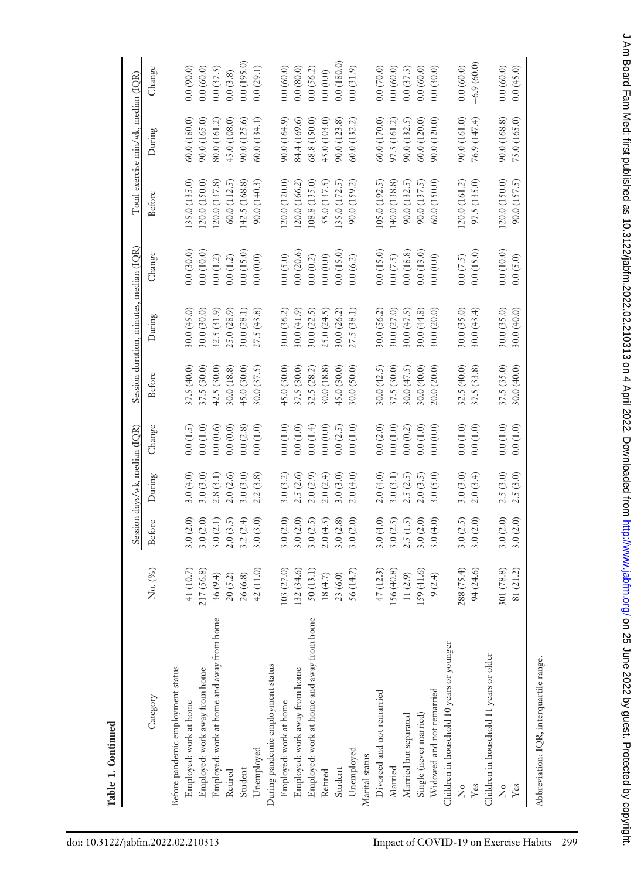|                                           |             |               | Session days/wk, median (IQR) |          |             | Session duration, minutes, median (IQR) |              |               | Total exercise min/wk, median (IQR) |              |
|-------------------------------------------|-------------|---------------|-------------------------------|----------|-------------|-----------------------------------------|--------------|---------------|-------------------------------------|--------------|
| Category                                  | No. (%)     | <b>Before</b> | During                        | Change   | Before      | During                                  | Change       | Before        | During                              | Change       |
| Before pandemic employment status         |             |               |                               |          |             |                                         |              |               |                                     |              |
| Employed: work at home                    | 41 (10.7)   | 3.0(2.0)      | 3.0(4.0)                      | 0.0(1.5) | 37.5(40.0)  | 30.0(45.0)                              | 0.0(30.0)    | 135.0 (135.0) | 60.0 (180.0)                        | 0.0(90.0)    |
| Employed: work away from home             | 217 (56.8)  | 3.0(2.0)      | 3.0(3.0)                      | 0.0(1.0) | 37.5 (30.0) | 30.0 (30.0)                             | 0.0(10.0)    | 120.0(150.0)  | 90.0 (165.0)                        | 0.0(60.0)    |
| Employed: work at home and away from home | 36(9.4)     | 3.0(2.1)      | 2.8(3.1)                      | 0.0(0.6) | 42.5 (30.0) | 32.5 (31.9)                             | 0.0(1.2)     | 120.0(137.8)  | 80.0 (161.2)                        | 0.0(37.5)    |
| Retired                                   | $20\ (5.2)$ | 2.0(3.5)      | 2.0(2.6)                      | 0.0(0.0) | 30.0 (18.8) | 25.0 (28.9)                             | $0.0\ (1.2)$ | 60.0 (112.5)  | 45.0 (108.0)                        | 0.0(3.8)     |
| Student                                   | 26 (6.8)    | 3.2(2.4)      | 3.0 (3.0)                     | 0.0(2.8) | 45.0(30.0)  | 30.0 (28.1)                             | 0.0(15.0)    | 142.5 (168.8) | 90.0 (125.6)                        | 0.0(195.0)   |
| Unemployed                                | 42(11.0)    | 3.0(3.0)      | 2.2(3.8)                      | 0.0(1.0) | 30.0(37.5)  | 27.5(43.8)                              | 0.0(0.0)     | 90.0 (140.3)  | 60.0(134.1)                         | 0.0(29.1)    |
| During pandemic employment status         |             |               |                               |          |             |                                         |              |               |                                     |              |
| Employed: work at home                    | 103 (27.0)  | 3.0(2.0)      | 3.0(3.2)                      | 0.0(1.0) | 45.0(30.0)  | 30.0 (36.2)                             | 0.0(5.0)     | 120.0 (120.0) | 90.0 (164.9)                        | 0.0(60.0)    |
| Employed: work away from home             | 132 (34.6)  | 3.0(2.0)      | 2.5(2.6)                      | 0.0(1.0) | 37.5 (30.0) | 30.0(41.9)                              | 0.0(20.6)    | 120.0 (166.2) | 84.4 (169.6)                        | 0.0(80.0)    |
| Employed: work at home and away from home | 50(13.1)    | 3.0(2.5)      | 2.0(2.9)                      | 0.0(1.4) | 32.5 (28.2) | 30.0 (22.5)                             | 0.0(0.2)     | 108.8 (135.0) | 68.8 (150.0)                        | 0.0(56.2)    |
| Retired                                   | 18(4.7)     | 2.0(4.5)      | 2.0(2.4)                      | 0.0(0.0) | 30.0 (18.8) | 25.0 (24.5)                             | 0.0(0.0)     | 55.0 (137.5)  | 45.0 (103.0)                        | 0.0(0.0)     |
| Student                                   | 23 (6.0)    | 3.0(2.8)      | 3.0 (3.0)                     | 0.0(2.5) | 45.0(30.0)  | 30.0 (26.2)                             | 0.0(15.0)    | 135.0 (172.5) | 90.0 (123.8)                        | 0.0(180.0)   |
| Unemployed                                | 56 (14.7)   | 3.0(2.0)      | 2.0(4.0)                      | 0.0(1.0) | 30.0 (50.0) | 27.5 (38.1)                             | 0.0(6.2)     | 90.0 (159.2)  | 60.0 (132.2)                        | 0.0(31.9)    |
| Marital status                            |             |               |                               |          |             |                                         |              |               |                                     |              |
| Divorced and not remarried                | 47(12.3)    | 3.0 $(4.0)$   | 2.0(4.0)                      | 0.0(2.0) | 30.0 (42.5) | 30.0 (56.2)                             | 0.0(15.0)    | 105.0 (192.5) | 60.0 (170.0)                        | 0.0(70.0)    |
| Married                                   | 156 (40.8)  | 3.0(2.5)      | 3.0(3.1)                      | 0.0(1.0) | 37.5 (30.0) | 30.0 (27.0)                             | 0.0(7.5)     | 140.0 (138.8) | 97.5 (161.2)                        | 0.0(60.0)    |
| Married but separated                     | 11(2.9)     | 2.5(1.5)      | 2.5(2.5)                      | 0.0(0.2) | 30.0 (47.5) | 30.0(47.5)                              | 0.0(18.8)    | 90.0(132.5)   | 90.0 (132.5)                        | 0.0(37.5)    |
| Single (never married)                    | 159 (41.6)  | 3.0(2.0)      | 2.0(3.5)                      | 0.0(1.0) | 30.0 (40.0) | 30.0 (44.8)                             | 0.0(13.0)    | 90.0 (137.5)  | 60.0 (120.0)                        | 0.0(60.0)    |
| Widowed and not remarried                 | 9(2.4)      | 3.0(4.0)      | 3.0(5.0)                      | 0.0(0.0) | 20.0 (20.0) | 30.0 (20.0)                             | 0.0(0.0)     | 60.0 (150.0)  | 90.0 (120.0)                        | 0.0(30.0)    |
| Children in household 10 years or younger |             |               |                               |          |             |                                         |              |               |                                     |              |
| ž                                         | 288 (75.4)  | 3.0(2.5)      | 3.0(3.0)                      | 0.0(1.0) | 32.5 (40.0) | 30.0 (35.0)                             | 0.0(7.5)     | 120.0(161.2)  | 90.0 (161.0)                        | 0.0(60.0)    |
| Yes                                       | 94 (24.6)   | 3.0(2.0)      | 2.0(3.4)                      | 0.0(1.0) | 37.5 (33.8) | 30.0(43.4)                              | 0.0(15.0)    | 97.5 (135.0)  | 76.9 (147.4)                        | $-6.9(60.0)$ |
| Children in household 11 years or older   |             |               |                               |          |             |                                         |              |               |                                     |              |
| ż                                         | 301 (78.8)  | 3.0(2.0)      | 2.5(3.0)                      | 0.0(1.0) | 37.5 (35.0) | 30.0 (35.0)                             | 0.0(10.0)    | 120.0 (150.0) | 90.0 (168.8)                        | 0.0(60.0)    |
| Yes                                       | 81 (21.2)   | 3.0(2.0)      | 2.5(3.0)                      | 0.0(1.0) | 30.0 (40.0) | 30.0 (40.0)                             | 0.0(5.0)     | 90.0 (157.5)  | 75.0 (165.0)                        | 0.0(45.0)    |
| Abbreviation: IQR, interquartile range.   |             |               |                               |          |             |                                         |              |               |                                     |              |

J Am Board Fam Med: first published as 10.3122/jabfm.2022.02.210313 on 4 April 2022. Downloaded from http://www.jabfm.org/ on 25 June 2022 by guest. Protected by copyright. d Am Board Fam Med: first published as 10.312/jabfm.2022.02.210313 on 4 April 2022. Downloaded from <http://www.jabfm.org/> on 25 June 2022 by guest. Protected by copyright.

Table 1. Continued

Table 1. Continued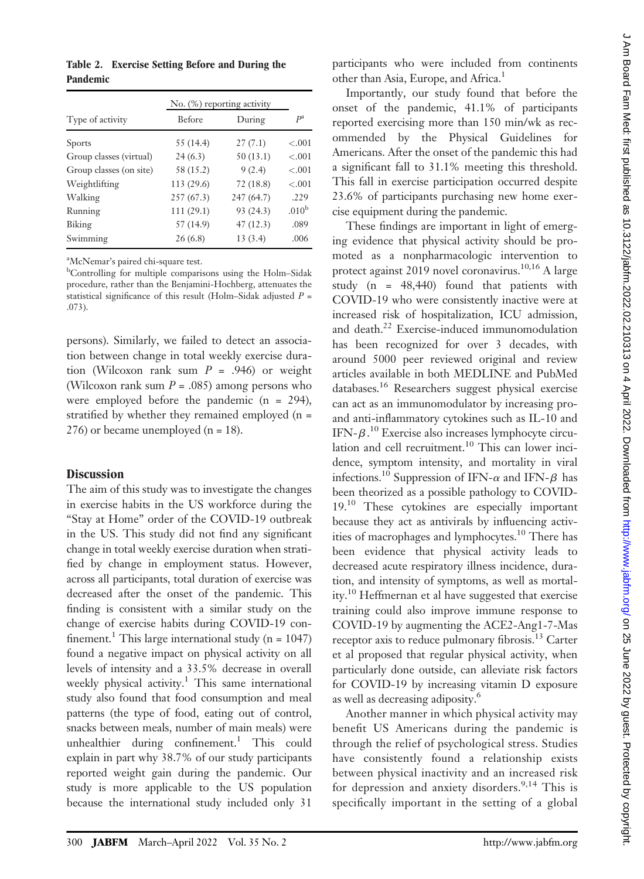Table 2. Exercise Setting Before and During the Pandemic

|                         |               | $No.$ (%) reporting activity |                   |  |
|-------------------------|---------------|------------------------------|-------------------|--|
| Type of activity        | <b>Before</b> | During                       | $P^{\rm a}$       |  |
| <b>Sports</b>           | 55(14.4)      | 27(7.1)                      | $-.001$           |  |
| Group classes (virtual) | 24(6.3)       | 50 (13.1)                    | $-.001$           |  |
| Group classes (on site) | 58 (15.2)     | 9(2.4)                       | $-.001$           |  |
| Weightlifting           | 113 (29.6)    | 72 (18.8)                    | $-.001$           |  |
| Walking                 | 257(67.3)     | 247 (64.7)                   | .229              |  |
| Running                 | 111(29.1)     | 93 (24.3)                    | .010 <sup>b</sup> |  |
| Biking                  | 57 (14.9)     | 47(12.3)                     | .089              |  |
| Swimming                | 26(6.8)       | 13(3.4)                      | .006              |  |

<sup>a</sup>McNemar's paired chi-square test.<br><sup>b</sup>Controlling for multiple compari

Controlling for multiple comparisons using the Holm–Sidak procedure, rather than the Benjamini-Hochberg, attenuates the statistical significance of this result (Holm–Sidak adjusted  $P =$ .073).

persons). Similarly, we failed to detect an association between change in total weekly exercise duration (Wilcoxon rank sum  $P = .946$ ) or weight (Wilcoxon rank sum  $P = .085$ ) among persons who were employed before the pandemic  $(n = 294)$ , stratified by whether they remained employed (n =  $276$ ) or became unemployed (n = 18).

#### **Discussion**

The aim of this study was to investigate the changes in exercise habits in the US workforce during the "Stay at Home" order of the COVID-19 outbreak in the US. This study did not find any significant change in total weekly exercise duration when stratified by change in employment status. However, across all participants, total duration of exercise was decreased after the onset of the pandemic. This finding is consistent with a similar study on the change of exercise habits during COVID-19 confinement.<sup>1</sup> This large international study (n =  $1047$ ) found a negative impact on physical activity on all levels of intensity and a 33.5% decrease in overall weekly physical activity.<sup>1</sup> This same international study also found that food consumption and meal patterns (the type of food, eating out of control, snacks between meals, number of main meals) were unhealthier during confinement.<sup>1</sup> This could explain in part why 38.7% of our study participants reported weight gain during the pandemic. Our study is more applicable to the US population because the international study included only 31

participants who were included from continents other than Asia, Europe, and Africa.<sup>1</sup>

Importantly, our study found that before the onset of the pandemic, 41.1% of participants reported exercising more than 150 min/wk as recommended by the Physical Guidelines for Americans. After the onset of the pandemic this had a significant fall to 31.1% meeting this threshold. This fall in exercise participation occurred despite 23.6% of participants purchasing new home exercise equipment during the pandemic.

These findings are important in light of emerging evidence that physical activity should be promoted as a nonpharmacologic intervention to protect against 2019 novel coronavirus.<sup>10,16</sup> A large study (n = 48,440) found that patients with COVID-19 who were consistently inactive were at increased risk of hospitalization, ICU admission, and death.<sup>22</sup> Exercise-induced immunomodulation has been recognized for over 3 decades, with around 5000 peer reviewed original and review articles available in both MEDLINE and PubMed databases.16 Researchers suggest physical exercise can act as an immunomodulator by increasing proand anti-inflammatory cytokines such as IL-10 and IFN- $\beta$ .<sup>10</sup> Exercise also increases lymphocyte circulation and cell recruitment. $10$  This can lower incidence, symptom intensity, and mortality in viral infections.<sup>10</sup> Suppression of IFN- $\alpha$  and IFN- $\beta$  has been theorized as a possible pathology to COVID-19.<sup>10</sup> These cytokines are especially important because they act as antivirals by influencing activities of macrophages and lymphocytes.<sup>10</sup> There has been evidence that physical activity leads to decreased acute respiratory illness incidence, duration, and intensity of symptoms, as well as mortality.<sup>10</sup> Heffmernan et al have suggested that exercise training could also improve immune response to COVID-19 by augmenting the ACE2-Ang1-7-Mas receptor axis to reduce pulmonary fibrosis.<sup>13</sup> Carter et al proposed that regular physical activity, when particularly done outside, can alleviate risk factors for COVID-19 by increasing vitamin D exposure as well as decreasing adiposity.<sup>6</sup>

Another manner in which physical activity may benefit US Americans during the pandemic is through the relief of psychological stress. Studies have consistently found a relationship exists between physical inactivity and an increased risk for depression and anxiety disorders.<sup>9,14</sup> This is specifically important in the setting of a global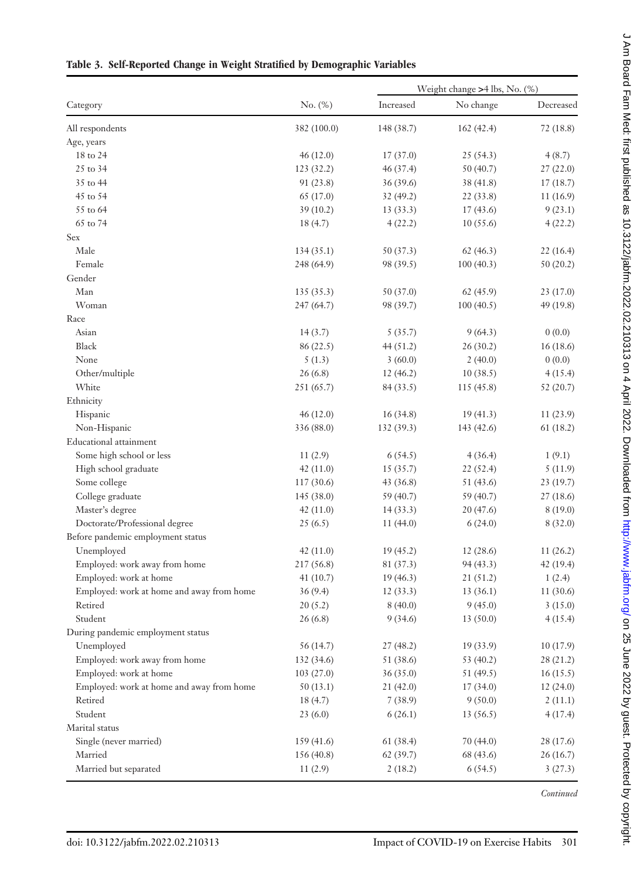|                                           |             |            | Weight change >4 lbs, No. (%) |           |
|-------------------------------------------|-------------|------------|-------------------------------|-----------|
| Category                                  | No. (%)     | Increased  | No change                     | Decreased |
| All respondents                           | 382 (100.0) | 148 (38.7) | 162(42.4)                     | 72(18.8)  |
| Age, years                                |             |            |                               |           |
| 18 to 24                                  | 46(12.0)    | 17(37.0)   | 25(54.3)                      | 4(8.7)    |
| 25 to 34                                  | 123 (32.2)  | 46(37.4)   | 50 (40.7)                     | 27(22.0)  |
| 35 to 44                                  | 91 (23.8)   | 36 (39.6)  | 38 (41.8)                     | 17(18.7)  |
| 45 to 54                                  | 65 (17.0)   | 32(49.2)   | 22 (33.8)                     | 11(16.9)  |
| 55 to 64                                  | 39(10.2)    | 13(33.3)   | 17(43.6)                      | 9(23.1)   |
| 65 to 74                                  | 18(4.7)     | 4(22.2)    | 10(55.6)                      | 4(22.2)   |
| Sex                                       |             |            |                               |           |
| Male                                      | 134(35.1)   | 50 (37.3)  | 62(46.3)                      | 22(16.4)  |
| Female                                    | 248 (64.9)  | 98 (39.5)  | 100(40.3)                     | 50(20.2)  |
| Gender                                    |             |            |                               |           |
| Man                                       | 135(35.3)   | 50 (37.0)  | 62 (45.9)                     | 23(17.0)  |
| Woman                                     | 247 (64.7)  | 98 (39.7)  | 100(40.5)                     | 49 (19.8) |
| Race                                      |             |            |                               |           |
| Asian                                     | 14(3.7)     | 5(35.7)    | 9(64.3)                       | 0(0.0)    |
| Black                                     | 86 (22.5)   | 44(51.2)   | 26(30.2)                      | 16(18.6)  |
| None                                      | 5(1.3)      | 3(60.0)    | 2(40.0)                       | 0(0.0)    |
| Other/multiple                            | 26(6.8)     | 12(46.2)   | 10(38.5)                      | 4(15.4)   |
| White                                     | 251 (65.7)  | 84 (33.5)  | 115(45.8)                     | 52 (20.7) |
| Ethnicity                                 |             |            |                               |           |
| Hispanic                                  | 46(12.0)    | 16(34.8)   | 19(41.3)                      | 11(23.9)  |
| Non-Hispanic                              | 336 (88.0)  | 132 (39.3) | 143 (42.6)                    | 61(18.2)  |
| Educational attainment                    |             |            |                               |           |
| Some high school or less                  | 11(2.9)     | 6(54.5)    | 4(36.4)                       | 1(9.1)    |
| High school graduate                      | 42(11.0)    | 15(35.7)   | 22 (52.4)                     | 5(11.9)   |
| Some college                              | 117 (30.6)  | 43(36.8)   | 51 (43.6)                     | 23(19.7)  |
| College graduate                          | 145 (38.0)  | 59 (40.7)  | 59 (40.7)                     | 27(18.6)  |
| Master's degree                           | 42(11.0)    | 14(33.3)   | 20(47.6)                      | 8(19.0)   |
| Doctorate/Professional degree             | 25(6.5)     | 11(44.0)   | 6(24.0)                       | 8(32.0)   |
| Before pandemic employment status         |             |            |                               |           |
| Unemployed                                | 42(11.0)    | 19(45.2)   | 12(28.6)                      | 11(26.2)  |
| Employed: work away from home             | 217 (56.8)  | 81 (37.3)  | 94(43.3)                      | 42 (19.4) |
| Employed: work at home                    | 41(10.7)    | 19(46.3)   | 21 (51.2)                     | 1(2.4)    |
| Employed: work at home and away from home | 36(9.4)     | 12 (33.3)  | 13 (36.1)                     | 11(30.6)  |
| Retired                                   | 20(5.2)     | 8(40.0)    | 9(45.0)                       | 3(15.0)   |
| Student                                   | 26(6.8)     | 9(34.6)    | 13(50.0)                      | 4(15.4)   |
| During pandemic employment status         |             |            |                               |           |
| Unemployed                                | 56 (14.7)   | 27(48.2)   | 19(33.9)                      | 10(17.9)  |
| Employed: work away from home             | 132 (34.6)  | 51 (38.6)  | 53 (40.2)                     | 28 (21.2) |
| Employed: work at home                    | 103(27.0)   | 36(35.0)   | 51 (49.5)                     | 16(15.5)  |
| Employed: work at home and away from home | 50(13.1)    | 21(42.0)   | 17(34.0)                      | 12(24.0)  |
| Retired                                   | 18(4.7)     | 7(38.9)    | 9(50.0)                       | 2(11.1)   |
| Student                                   | 23(6.0)     | 6(26.1)    | 13(56.5)                      | 4(17.4)   |
| Marital status                            |             |            |                               |           |
| Single (never married)                    | 159 (41.6)  | 61 (38.4)  | 70(44.0)                      | 28 (17.6) |
| Married                                   | 156(40.8)   | 62(39.7)   | 68 (43.6)                     | 26(16.7)  |
| Married but separated                     | 11(2.9)     | 2(18.2)    | 6(54.5)                       | 3(27.3)   |

## Table 3. Self-Reported Change in Weight Stratified by Demographic Variables

**Continued**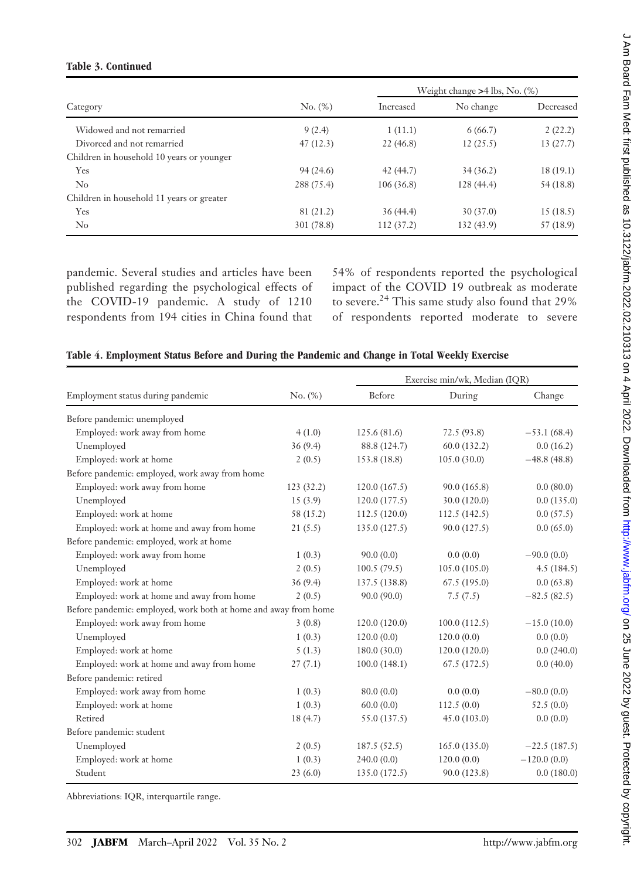#### Table 3. Continued

|                                           |            |           | Weight change $>4$ lbs, No. $(\%)$ |           |
|-------------------------------------------|------------|-----------|------------------------------------|-----------|
| Category                                  | No. (%)    | Increased | No change                          | Decreased |
| Widowed and not remarried                 | 9(2.4)     | 1(11.1)   | 6(66.7)                            | 2(22.2)   |
| Divorced and not remarried                | 47(12.3)   | 22(46.8)  | 12(25.5)                           | 13(27.7)  |
| Children in household 10 years or younger |            |           |                                    |           |
| Yes                                       | 94(24.6)   | 42 (44.7) | 34(36.2)                           | 18(19.1)  |
| $\rm No$                                  | 288 (75.4) | 106(36.8) | 128(44.4)                          | 54 (18.8) |
| Children in household 11 years or greater |            |           |                                    |           |
| Yes                                       | 81 (21.2)  | 36(44.4)  | 30(37.0)                           | 15(18.5)  |
| $\rm No$                                  | 301 (78.8) | 112(37.2) | 132(43.9)                          | 57 (18.9) |

pandemic. Several studies and articles have been published regarding the psychological effects of the COVID-19 pandemic. A study of 1210 respondents from 194 cities in China found that

54% of respondents reported the psychological impact of the COVID 19 outbreak as moderate to severe.<sup>24</sup> This same study also found that 29% of respondents reported moderate to severe

|                                   |         |               | Exercise min/wk, Median (IQR) |       |
|-----------------------------------|---------|---------------|-------------------------------|-------|
| Employment status during pandemic | No. (%) | <b>Before</b> | During                        |       |
| Before pandemic: unemployed       |         |               |                               |       |
| Employed: work away from home     | 4(1.0)  | 125.6(81.6)   | 72.5 (93.8)                   | $-53$ |
| TT 1 1                            | 2(0, 4) | 00011247      | $(0.0 (122)^{2})$             |       |

|  |  |  | Table 4. Employment Status Before and During the Pandemic and Change in Total Weekly Exercise |
|--|--|--|-----------------------------------------------------------------------------------------------|
|  |  |  |                                                                                               |

| Employment status during pandemic                               | No. (%)   | Before        | During       | Change         |
|-----------------------------------------------------------------|-----------|---------------|--------------|----------------|
| Before pandemic: unemployed                                     |           |               |              |                |
| Employed: work away from home                                   | 4(1.0)    | 125.6(81.6)   | 72.5 (93.8)  | $-53.1(68.4)$  |
| Unemployed                                                      | 36(9.4)   | 88.8 (124.7)  | 60.0(132.2)  | 0.0(16.2)      |
| Employed: work at home                                          | 2(0.5)    | 153.8 (18.8)  | 105.0(30.0)  | $-48.8(48.8)$  |
| Before pandemic: employed, work away from home                  |           |               |              |                |
| Employed: work away from home                                   | 123(32.2) | 120.0(167.5)  | 90.0(165.8)  | 0.0(80.0)      |
| Unemployed                                                      | 15(3.9)   | 120.0(177.5)  | 30.0 (120.0) | 0.0(135.0)     |
| Employed: work at home                                          | 58 (15.2) | 112.5(120.0)  | 112.5(142.5) | 0.0(57.5)      |
| Employed: work at home and away from home                       | 21(5.5)   | 135.0 (127.5) | 90.0 (127.5) | 0.0(65.0)      |
| Before pandemic: employed, work at home                         |           |               |              |                |
| Employed: work away from home                                   | 1(0.3)    | 90.0(0.0)     | 0.0(0.0)     | $-90.0(0.0)$   |
| Unemployed                                                      | 2(0.5)    | 100.5(79.5)   | 105.0(105.0) | 4.5(184.5)     |
| Employed: work at home                                          | 36(9.4)   | 137.5 (138.8) | 67.5(195.0)  | 0.0(63.8)      |
| Employed: work at home and away from home                       | 2(0.5)    | 90.0 (90.0)   | 7.5(7.5)     | $-82.5(82.5)$  |
| Before pandemic: employed, work both at home and away from home |           |               |              |                |
| Employed: work away from home                                   | 3(0.8)    | 120.0(120.0)  | 100.0(112.5) | $-15.0(10.0)$  |
| Unemployed                                                      | 1(0.3)    | 120.0(0.0)    | 120.0(0.0)   | 0.0(0.0)       |
| Employed: work at home                                          | 5(1.3)    | 180.0(30.0)   | 120.0(120.0) | 0.0(240.0)     |
| Employed: work at home and away from home                       | 27(7.1)   | 100.0(148.1)  | 67.5(172.5)  | 0.0(40.0)      |
| Before pandemic: retired                                        |           |               |              |                |
| Employed: work away from home                                   | 1(0.3)    | 80.0(0.0)     | 0.0(0.0)     | $-80.0(0.0)$   |
| Employed: work at home                                          | 1(0.3)    | 60.0(0.0)     | 112.5(0.0)   | 52.5(0.0)      |
| Retired                                                         | 18(4.7)   | 55.0 (137.5)  | 45.0(103.0)  | 0.0(0.0)       |
| Before pandemic: student                                        |           |               |              |                |
| Unemployed                                                      | 2(0.5)    | 187.5(52.5)   | 165.0(135.0) | $-22.5(187.5)$ |
| Employed: work at home                                          | 1(0.3)    | 240.0(0.0)    | 120.0(0.0)   | $-120.0(0.0)$  |
| Student                                                         | 23(6.0)   | 135.0 (172.5) | 90.0 (123.8) | 0.0(180.0)     |

Abbreviations: IQR, interquartile range.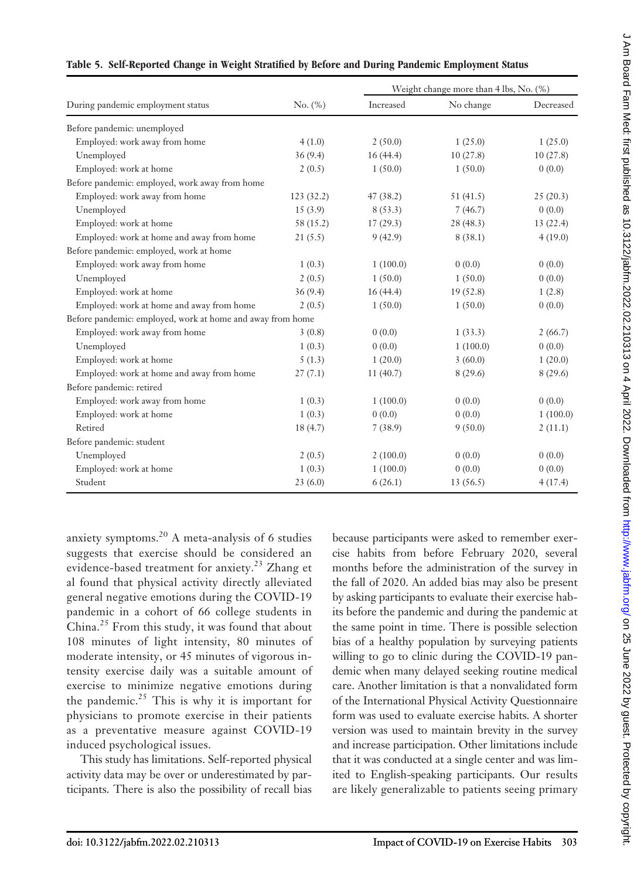|                                                            |            |           | Weight change more than 4 lbs, No. (%) |           |
|------------------------------------------------------------|------------|-----------|----------------------------------------|-----------|
| During pandemic employment status                          | No. (%)    | Increased | No change                              | Decreased |
| Before pandemic: unemployed                                |            |           |                                        |           |
| Employed: work away from home                              | 4(1.0)     | 2(50.0)   | 1(25.0)                                | 1(25.0)   |
| Unemployed                                                 | 36(9.4)    | 16(44.4)  | 10(27.8)                               | 10(27.8)  |
| Employed: work at home                                     | 2(0.5)     | 1(50.0)   | 1(50.0)                                | 0(0.0)    |
| Before pandemic: employed, work away from home             |            |           |                                        |           |
| Employed: work away from home                              | 123 (32.2) | 47(38.2)  | 51(41.5)                               | 25(20.3)  |
| Unemployed                                                 | 15(3.9)    | 8(53.3)   | 7(46.7)                                | 0(0.0)    |
| Employed: work at home                                     | 58 (15.2)  | 17(29.3)  | 28 (48.3)                              | 13(22.4)  |
| Employed: work at home and away from home                  | 21(5.5)    | 9(42.9)   | 8(38.1)                                | 4(19.0)   |
| Before pandemic: employed, work at home                    |            |           |                                        |           |
| Employed: work away from home                              | 1(0.3)     | 1(100.0)  | 0(0.0)                                 | 0(0.0)    |
| Unemployed                                                 | 2(0.5)     | 1(50.0)   | 1(50.0)                                | 0(0.0)    |
| Employed: work at home                                     | 36(9.4)    | 16(44.4)  | 19(52.8)                               | 1(2.8)    |
| Employed: work at home and away from home                  | 2(0.5)     | 1(50.0)   | 1(50.0)                                | 0(0.0)    |
| Before pandemic: employed, work at home and away from home |            |           |                                        |           |
| Employed: work away from home                              | 3(0.8)     | 0(0.0)    | 1(33.3)                                | 2(66.7)   |
| Unemployed                                                 | 1(0.3)     | 0(0.0)    | 1(100.0)                               | 0(0.0)    |
| Employed: work at home                                     | 5(1.3)     | 1(20.0)   | 3(60.0)                                | 1(20.0)   |
| Employed: work at home and away from home                  | 27(7.1)    | 11(40.7)  | 8(29.6)                                | 8(29.6)   |
| Before pandemic: retired                                   |            |           |                                        |           |
| Employed: work away from home                              | 1(0.3)     | 1(100.0)  | 0(0.0)                                 | 0(0.0)    |
| Employed: work at home                                     | 1(0.3)     | 0(0.0)    | 0(0.0)                                 | 1(100.0)  |
| Retired                                                    | 18(4.7)    | 7(38.9)   | 9(50.0)                                | 2(11.1)   |
| Before pandemic: student                                   |            |           |                                        |           |
| Unemployed                                                 | 2(0.5)     | 2(100.0)  | 0(0.0)                                 | 0(0.0)    |
| Employed: work at home                                     | 1(0.3)     | 1(100.0)  | 0(0.0)                                 | 0(0.0)    |
| Student                                                    | 23(6.0)    | 6(26.1)   | 13(56.5)                               | 4(17.4)   |

#### Table 5. Self-Reported Change in Weight Stratified by Before and During Pandemic Employment Status

anxiety symptoms.<sup>20</sup> A meta-analysis of 6 studies suggests that exercise should be considered an evidence-based treatment for anxiety.<sup>23</sup> Zhang et al found that physical activity directly alleviated general negative emotions during the COVID-19 pandemic in a cohort of 66 college students in China.<sup>25</sup> From this study, it was found that about 108 minutes of light intensity, 80 minutes of moderate intensity, or 45 minutes of vigorous intensity exercise daily was a suitable amount of exercise to minimize negative emotions during the pandemic.<sup>25</sup> This is why it is important for physicians to promote exercise in their patients as a preventative measure against COVID-19 induced psychological issues.

This study has limitations. Self-reported physical activity data may be over or underestimated by participants. There is also the possibility of recall bias

because participants were asked to remember exercise habits from before February 2020, several months before the administration of the survey in the fall of 2020. An added bias may also be present by asking participants to evaluate their exercise habits before the pandemic and during the pandemic at the same point in time. There is possible selection bias of a healthy population by surveying patients willing to go to clinic during the COVID-19 pandemic when many delayed seeking routine medical care. Another limitation is that a nonvalidated form of the International Physical Activity Questionnaire form was used to evaluate exercise habits. A shorter version was used to maintain brevity in the survey and increase participation. Other limitations include that it was conducted at a single center and was limited to English-speaking participants. Our results are likely generalizable to patients seeing primary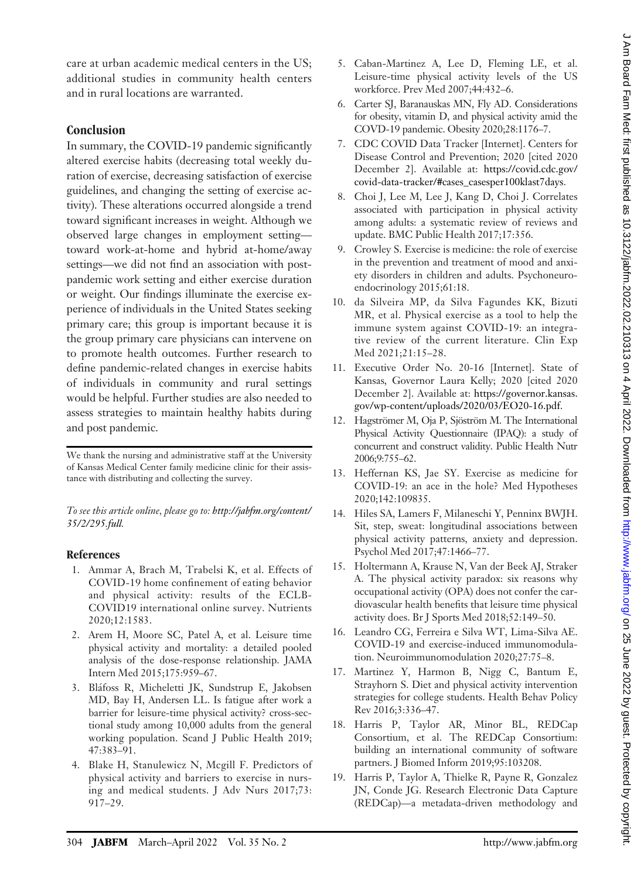care at urban academic medical centers in the US; additional studies in community health centers and in rural locations are warranted.

## **Conclusion**

In summary, the COVID-19 pandemic significantly altered exercise habits (decreasing total weekly duration of exercise, decreasing satisfaction of exercise guidelines, and changing the setting of exercise activity). These alterations occurred alongside a trend toward significant increases in weight. Although we observed large changes in employment setting toward work-at-home and hybrid at-home/away settings—we did not find an association with postpandemic work setting and either exercise duration or weight. Our findings illuminate the exercise experience of individuals in the United States seeking primary care; this group is important because it is the group primary care physicians can intervene on to promote health outcomes. Further research to define pandemic-related changes in exercise habits of individuals in community and rural settings would be helpful. Further studies are also needed to assess strategies to maintain healthy habits during and post pandemic.

We thank the nursing and administrative staff at the University of Kansas Medical Center family medicine clinic for their assistance with distributing and collecting the survey.

To see this article online, please go to: [http://jabfm.org/content/](http://jabfm.org/content/35/2/295.full) [35/2/295.full](http://jabfm.org/content/35/2/295.full).

#### References

- 1. Ammar A, Brach M, Trabelsi K, et al. Effects of COVID-19 home confinement of eating behavior and physical activity: results of the ECLB-COVID19 international online survey. Nutrients 2020;12:1583.
- 2. Arem H, Moore SC, Patel A, et al. Leisure time physical activity and mortality: a detailed pooled analysis of the dose-response relationship. JAMA Intern Med 2015;175:959–67.
- 3. Blafoss R, Micheletti JK, Sundstrup E, Jakobsen MD, Bay H, Andersen LL. Is fatigue after work a barrier for leisure-time physical activity? cross-sectional study among 10,000 adults from the general working population. Scand J Public Health 2019; 47:383–91.
- 4. Blake H, Stanulewicz N, Mcgill F. Predictors of physical activity and barriers to exercise in nursing and medical students. J Adv Nurs 2017;73: 917–29.
- 5. Caban-Martinez A, Lee D, Fleming LE, et al. Leisure-time physical activity levels of the US workforce. Prev Med 2007;44:432–6.
- 6. Carter SJ, Baranauskas MN, Fly AD. Considerations for obesity, vitamin D, and physical activity amid the COVD-19 pandemic. Obesity 2020;28:1176–7.
- 7. CDC COVID Data Tracker [Internet]. Centers for Disease Control and Prevention; 2020 [cited 2020 December 2]. Available at: [https://covid.cdc.gov/](https://covid.cdc.gov/covid-data-tracker/#cases_casesper100klast7days) [covid-data-tracker/#cases\\_casesper100klast7days](https://covid.cdc.gov/covid-data-tracker/#cases_casesper100klast7days).
- 8. Choi J, Lee M, Lee J, Kang D, Choi J. Correlates associated with participation in physical activity among adults: a systematic review of reviews and update. BMC Public Health 2017;17:356.
- 9. Crowley S. Exercise is medicine: the role of exercise in the prevention and treatment of mood and anxiety disorders in children and adults. Psychoneuroendocrinology 2015;61:18.
- 10. da Silveira MP, da Silva Fagundes KK, Bizuti MR, et al. Physical exercise as a tool to help the immune system against COVID-19: an integrative review of the current literature. Clin Exp Med 2021;21:15–28.
- 11. Executive Order No. 20-16 [Internet]. State of Kansas, Governor Laura Kelly; 2020 [cited 2020 December 2]. Available at: [https://governor.kansas.](https://governor.kansas.gov/wp-content/uploads/2020/03/EO20-16.pdf) [gov/wp-content/uploads/2020/03/EO20-16.pdf](https://governor.kansas.gov/wp-content/uploads/2020/03/EO20-16.pdf).
- 12. Hagströmer M, Oja P, Sjöström M. The International Physical Activity Questionnaire (IPAQ): a study of concurrent and construct validity. Public Health Nutr 2006;9:755–62.
- 13. Heffernan KS, Jae SY. Exercise as medicine for COVID-19: an ace in the hole? Med Hypotheses 2020;142:109835.
- 14. Hiles SA, Lamers F, Milaneschi Y, Penninx BWJH. Sit, step, sweat: longitudinal associations between physical activity patterns, anxiety and depression. Psychol Med 2017;47:1466–77.
- 15. Holtermann A, Krause N, Van der Beek AJ, Straker A. The physical activity paradox: six reasons why occupational activity (OPA) does not confer the cardiovascular health benefits that leisure time physical activity does. Br J Sports Med 2018;52:149–50.
- 16. Leandro CG, Ferreira e Silva WT, Lima-Silva AE. COVID-19 and exercise-induced immunomodulation. Neuroimmunomodulation 2020;27:75–8.
- 17. Martinez Y, Harmon B, Nigg C, Bantum E, Strayhorn S. Diet and physical activity intervention strategies for college students. Health Behav Policy Rev 2016;3:336–47.
- 18. Harris P, Taylor AR, Minor BL, REDCap Consortium, et al. The REDCap Consortium: building an international community of software partners. J Biomed Inform 2019;95:103208.
- 19. Harris P, Taylor A, Thielke R, Payne R, Gonzalez JN, Conde JG. Research Electronic Data Capture (REDCap)—a metadata-driven methodology and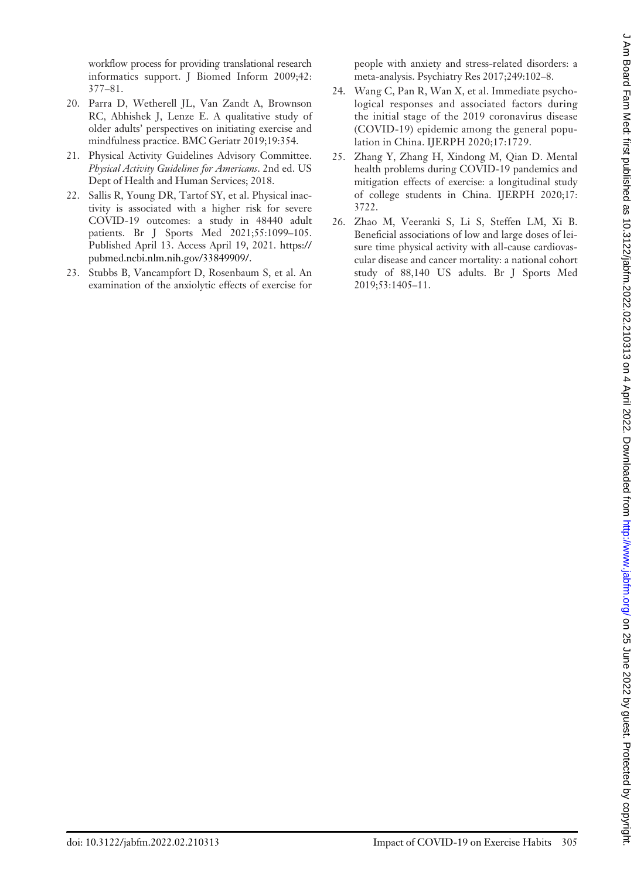workflow process for providing translational research informatics support. J Biomed Inform 2009;42: 377–81.

- 20. Parra D, Wetherell JL, Van Zandt A, Brownson RC, Abhishek J, Lenze E. A qualitative study of older adults' perspectives on initiating exercise and mindfulness practice. BMC Geriatr 2019;19:354.
- 21. Physical Activity Guidelines Advisory Committee. Physical Activity Guidelines for Americans. 2nd ed. US Dept of Health and Human Services; 2018.
- 22. Sallis R, Young DR, Tartof SY, et al. Physical inactivity is associated with a higher risk for severe COVID-19 outcomes: a study in 48440 adult patients. Br J Sports Med 2021;55:1099–105. Published April 13. Access April 19, 2021. [https://](https://pubmed.ncbi.nlm.nih.gov/33849909/) [pubmed.ncbi.nlm.nih.gov/33849909/](https://pubmed.ncbi.nlm.nih.gov/33849909/).
- 23. Stubbs B, Vancampfort D, Rosenbaum S, et al. An examination of the anxiolytic effects of exercise for

people with anxiety and stress-related disorders: a meta-analysis. Psychiatry Res 2017;249:102–8.

- 24. Wang C, Pan R, Wan X, et al. Immediate psychological responses and associated factors during the initial stage of the 2019 coronavirus disease (COVID-19) epidemic among the general population in China. IJERPH 2020;17:1729.
- 25. Zhang Y, Zhang H, Xindong M, Qian D. Mental health problems during COVID-19 pandemics and mitigation effects of exercise: a longitudinal study of college students in China. IJERPH 2020;17: 3722.
- 26. Zhao M, Veeranki S, Li S, Steffen LM, Xi B. Beneficial associations of low and large doses of leisure time physical activity with all-cause cardiovascular disease and cancer mortality: a national cohort study of 88,140 US adults. Br J Sports Med 2019;53:1405–11.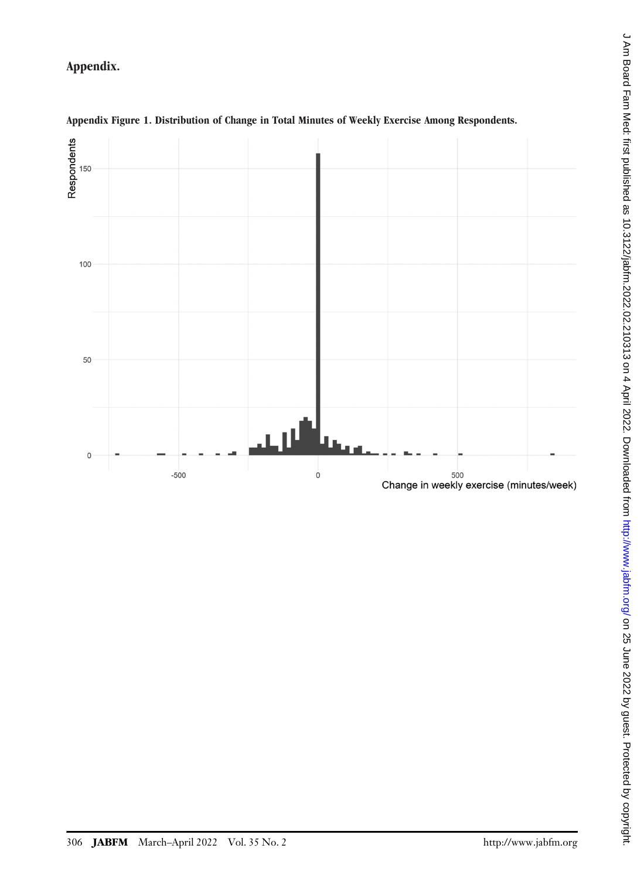Appendix.



## Appendix Figure 1. Distribution of Change in Total Minutes of Weekly Exercise Among Respondents.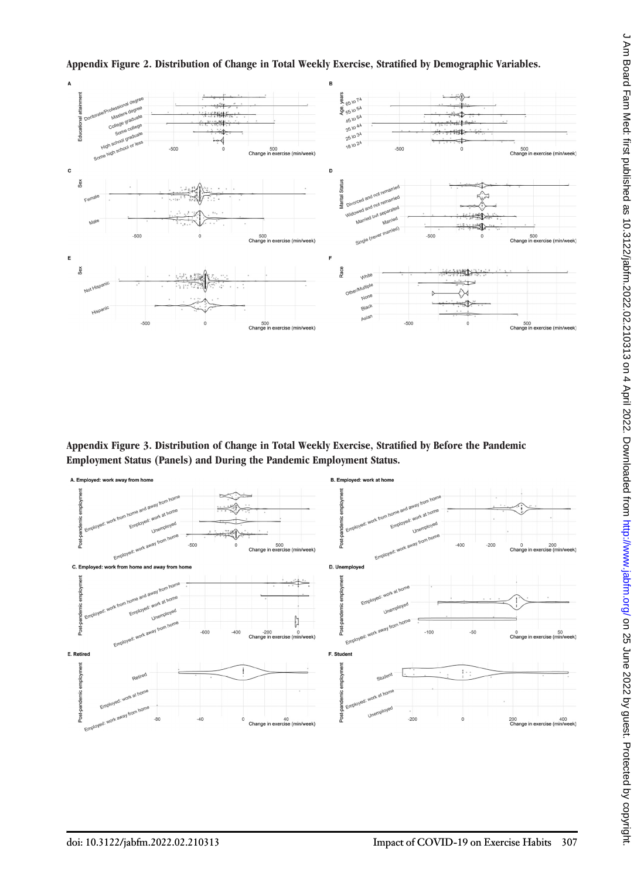

Appendix Figure 2. Distribution of Change in Total Weekly Exercise, Stratified by Demographic Variables.

Appendix Figure 3. Distribution of Change in Total Weekly Exercise, Stratified by Before the Pandemic Employment Status (Panels) and During the Pandemic Employment Status.

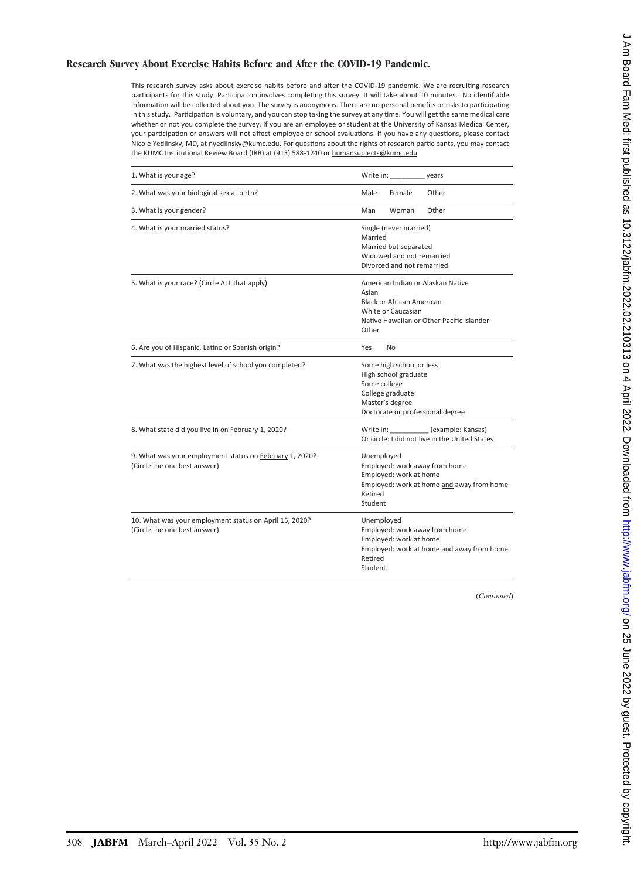#### Research Survey About Exercise Habits Before and After the COVID-19 Pandemic.

This research survey asks about exercise habits before and after the COVID-19 pandemic. We are recruiting research participants for this study. Participation involves completing this survey. It will take about 10 minutes. No identifiable information will be collected about you. The survey is anonymous. There are no personal benefits or risks to participating in this study. Participation is voluntary, and you can stop taking the survey at any time. You will get the same medical care whether or not you complete the survey. If you are an employee or student at the University of Kansas Medical Center, your participation or answers will not affect employee or school evaluations. If you have any questions, please contact Nicole Yedlinsky, MD, at nyedlinsky@kumc.edu. For questions about the rights of research participants, you may contact the KUMC Institutional Review Board (IRB) at (913) 588-1240 or humansubjects@kumc.edu

| 1. What is your age?                                                                    | Write in: vears                                                                                                                                            |
|-----------------------------------------------------------------------------------------|------------------------------------------------------------------------------------------------------------------------------------------------------------|
| 2. What was your biological sex at birth?                                               | Male<br>Female<br>Other                                                                                                                                    |
| 3. What is your gender?                                                                 | Man<br>Woman<br>Other                                                                                                                                      |
| 4. What is your married status?                                                         | Single (never married)<br>Married<br>Married but separated<br>Widowed and not remarried<br>Divorced and not remarried                                      |
| 5. What is your race? (Circle ALL that apply)                                           | American Indian or Alaskan Native<br>Asian<br><b>Black or African American</b><br>White or Caucasian<br>Native Hawaiian or Other Pacific Islander<br>Other |
| 6. Are you of Hispanic, Latino or Spanish origin?                                       | Yes<br>No                                                                                                                                                  |
| 7. What was the highest level of school you completed?                                  | Some high school or less<br>High school graduate<br>Some college<br>College graduate<br>Master's degree<br>Doctorate or professional degree                |
| 8. What state did you live in on February 1, 2020?                                      | Write in: (example: Kansas)<br>Or circle: I did not live in the United States                                                                              |
| 9. What was your employment status on February 1, 2020?<br>(Circle the one best answer) | Unemployed<br>Employed: work away from home<br>Employed: work at home<br>Employed: work at home and away from home<br>Retired<br>Student                   |
| 10. What was your employment status on April 15, 2020?<br>(Circle the one best answer)  | Unemployed<br>Employed: work away from home<br>Employed: work at home<br>Employed: work at home and away from home<br>Retired<br>Student                   |

(*Continued*)